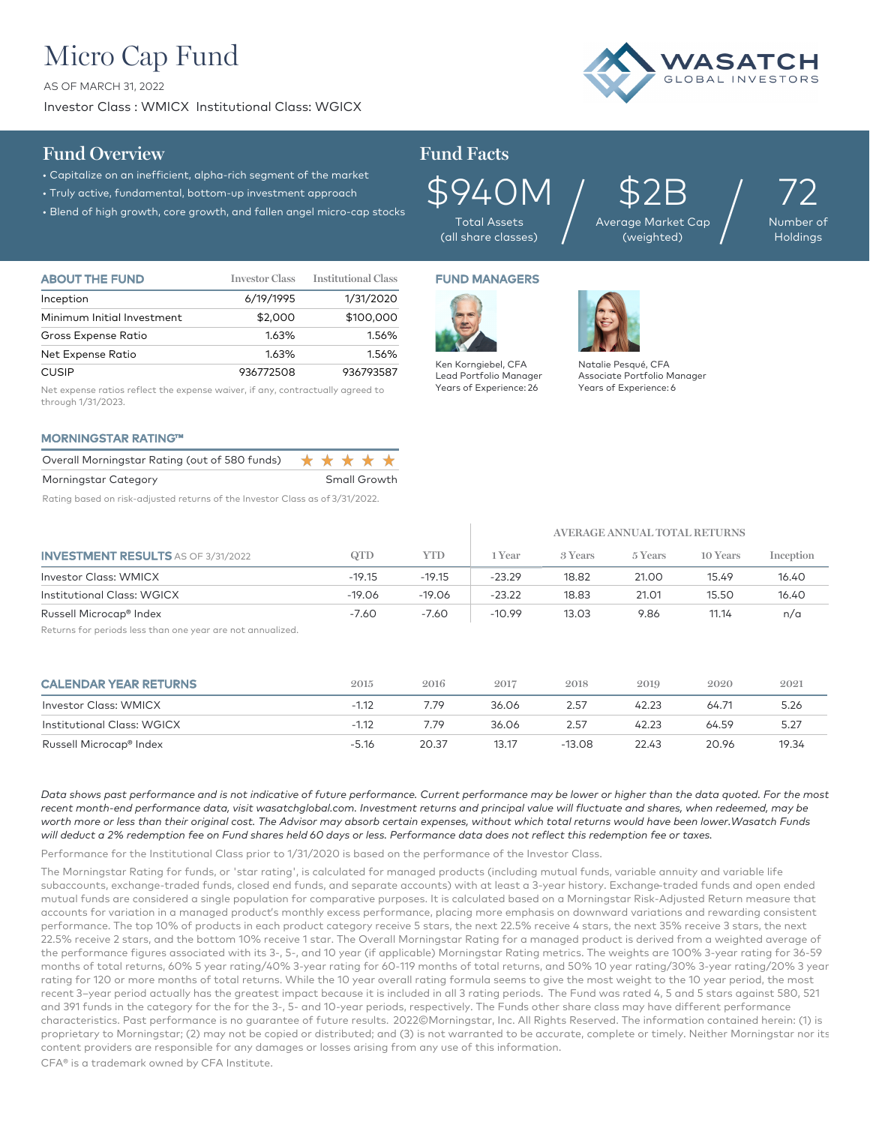# Micro Cap Fund

AS OF MARCH 31, 2022

Investor Class : WMICX Institutional Class: WGICX



## **Fund Overview Fund Facts**

- Capitalize on an inefficient, alpha-rich segment of the market
- Truly active, fundamental, bottom-up investment approach
- Blend of high growth, core growth, and fallen angel micro-cap stocks

Total Assets  $\mathfrak{S}$ 940M<br>Total Assets<br>(all share classes)

\$2B Average Market Cap  $$2B_{\tiny{\text{age Market Cap}}}\Big/$ 

72 Number of Holdings

| <b>ABOUT THE FUND</b>      | <b>Investor Class</b> | Institutional Class |
|----------------------------|-----------------------|---------------------|
| Inception                  | 6/19/1995             | 1/31/2020           |
| Minimum Initial Investment | \$2,000               | \$100,000           |
| Gross Expense Ratio        | 1.63%                 | 1.56%               |
| Net Expense Ratio          | 1.63%                 | 1.56%               |
| <b>CUSIP</b>               | 936772508             | 936793587           |

Net expense ratios reflect the expense waiver, if any, contractually agreed to through 1/31/2023.

#### MORNINGSTAR RATING™

| Overall Morningstar Rating (out of 580 funds) $\star \star \star \star \star$ |  |              |  |
|-------------------------------------------------------------------------------|--|--------------|--|
| Morningstar Category                                                          |  | Small Growth |  |
|                                                                               |  |              |  |

Rating based on risk-adjusted returns of the Investor Class as of 3/31/2022.

# FUND MANAGERS



 $\overline{\phantom{a}}$ 

Ken Korngiebel, CFA Lead Portfolio Manager Years of Experience: 26



Natalie Pesqué, CFA Associate Portfolio Manager Years of Experience: 6

**AVERAGE ANNUAL TOTAL RETURNS**

|                                           | AVERAGE ANNUAL TOTAL RETURNS |          |          |         |         |          |           |
|-------------------------------------------|------------------------------|----------|----------|---------|---------|----------|-----------|
| <b>INVESTMENT RESULTS</b> AS OF 3/31/2022 | QTD                          | YTD      | Year     | 3 Years | 5 Years | 10 Years | Inception |
| Investor Class: WMICX                     | $-19.15$                     | $-19.15$ | $-23.29$ | 18.82   | 21.00   | 15.49    | 16.40     |
| Institutional Class: WGICX                | $-19.06$                     | $-19.06$ | $-23.22$ | 18.83   | 21.01   | 15.50    | 16.40     |
| Russell Microcap <sup>®</sup> Index       | $-7.60$                      | $-7.60$  | $-10.99$ | 13.03   | 9.86    | 11.14    | n/a       |

Returns for periods less than one year are not annualized.

| <b>CALENDAR YEAR RETURNS</b> | 2015    | 2016  | 2017  | 2018     | 2019  | 2020  | 2021  |
|------------------------------|---------|-------|-------|----------|-------|-------|-------|
| Investor Class: WMICX        | $-1.12$ | 7.79  | 36.06 | 2.57     | 42.23 | 64.71 | 5.26  |
| Institutional Class: WGICX   | $-1.12$ | 7.79  | 36.06 | 2.57     | 42.23 | 64.59 | 5.27  |
| Russell Microcap® Index      | $-5.16$ | 20.37 | 13.17 | $-13.08$ | 22.43 | 20.96 | 19.34 |

*Data shows past performance and is not indicative of future performance. Current performance may be lower or higher than the data quoted. For the most*  recent month-end performance data, visit wasatchglobal.com. Investment returns and principal value will fluctuate and shares, when redeemed, may be worth more or less than their original cost. The Advisor may absorb certain expenses, without which total returns would have been lower.Wasatch Funds *will deduct a 2% redemption fee on Fund shares held 60 days or less. Performance data does not reflect this redemption fee or taxes.*

Performance for the Institutional Class prior to 1/31/2020 is based on the performance of the Investor Class.

The Morningstar Rating for funds, or 'star rating', is calculated for managed products (including mutual funds, variable annuity and variable life subaccounts, exchange-traded funds, closed end funds, and separate accounts) with at least a 3-year history. Exchange–traded funds and open ended mutual funds are considered a single population for comparative purposes. It is calculated based on a Morningstar Risk-Adjusted Return measure that accounts for variation in a managed product's monthly excess performance, placing more emphasis on downward variations and rewarding consistent performance. The top 10% of products in each product category receive 5 stars, the next 22.5% receive 4 stars, the next 35% receive 3 stars, the next 22.5% receive 2 stars, and the bottom 10% receive 1 star. The Overall Morningstar Rating for a managed product is derived from a weighted average of the performance figures associated with its 3-, 5-, and 10 year (if applicable) Morningstar Rating metrics. The weights are 100% 3-year rating for 36-59 months of total returns, 60% 5 year rating/40% 3-year rating for 60-119 months of total returns, and 50% 10 year rating/30% 3-year rating/20% 3 year rating for 120 or more months of total returns. While the 10 year overall rating formula seems to give the most weight to the 10 year period, the most recent 3–year period actually has the greatest impact because it is included in all 3 rating periods. The Fund was rated 4, 5 and 5 stars against 580, 521 and 391 funds in the category for the for the 3-, 5- and 10-year periods, respectively. The Funds other share class may have different performance characteristics. Past performance is no guarantee of future results. 2022©Morningstar, Inc. All Rights Reserved. The information contained herein: (1) is proprietary to Morningstar; (2) may not be copied or distributed; and (3) is not warranted to be accurate, complete or timely. Neither Morningstar nor its content providers are responsible for any damages or losses arising from any use of this information.

CFA® is a trademark owned by CFA Institute.